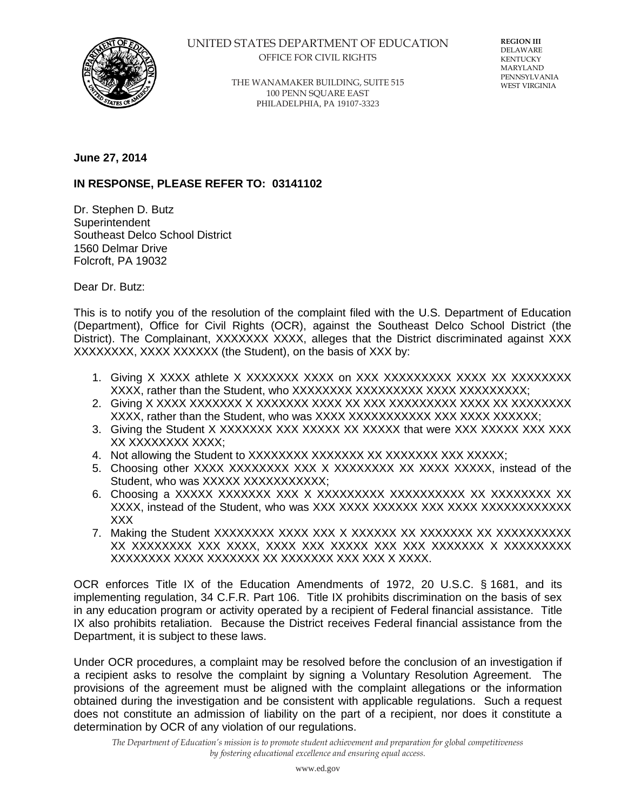

## UNITED STATES DEPARTMENT OF EDUCATION OFFICE FOR CIVIL RIGHTS

**REGION III** DELAWARE KENTUCKY MARYLAND PENNSYLVANIA WEST VIRGINIA

THE WANAMAKER BUILDING, SUITE 515 100 PENN SQUARE EAST PHILADELPHIA, PA 19107-3323

## **June 27, 2014**

## **IN RESPONSE, PLEASE REFER TO: 03141102**

Dr. Stephen D. Butz **Superintendent** Southeast Delco School District 1560 Delmar Drive Folcroft, PA 19032

Dear Dr. Butz:

This is to notify you of the resolution of the complaint filed with the U.S. Department of Education (Department), Office for Civil Rights (OCR), against the Southeast Delco School District (the District). The Complainant, XXXXXXX XXXX, alleges that the District discriminated against XXX XXXXXXXX, XXXX XXXXXX (the Student), on the basis of XXX by:

- 1. Giving X XXXX athlete X XXXXXXX XXXX on XXX XXXXXXXXX XXXX XX XXXXXXXX XXXX, rather than the Student, who XXXXXXXX XXXXXXXXX XXXX XXXXXXXXX;
- 2. Giving X XXXX XXXXXXX X XXXXXXX XXXX XX XXX XXXXXXXXX XXXX XX XXXXXXXX XXXX, rather than the Student, who was XXXX XXXXXXXXXXX XXX XXXX XXXXXX;
- 3. Giving the Student X XXXXXXX XXX XXXXX XX XXXXX that were XXX XXXXX XXX XXX XX XXXXXXXX XXXX;
- 4. Not allowing the Student to XXXXXXXX XXXXXXX XX XXXXXX XXX XXXXXX;
- 5. Choosing other XXXX XXXXXXXX XXX X XXXXXXXX XX XXXX XXXXX, instead of the Student, who was XXXXX XXXXXXXXXXXXX
- 6. Choosing a XXXXX XXXXXXX XXX X XXXXXXXXX XXXXXXXXXX XX XXXXXXXX XX XXXX, instead of the Student, who was XXX XXXX XXXXXX XXX XXXX XXXXXXXXXXXX XXX
- 7. Making the Student XXXXXXXX XXXX XXX X XXXXXX XX XXXXXXX XX XXXXXXXXXX XX XXXXXXXX XXX XXXX, XXXX XXX XXXXX XXX XXX XXXXXXX X XXXXXXXXX XXXXXXXX XXXX XXXXXXX XX XXXXXXX XXX XXX X XXXX.

OCR enforces Title IX of the Education Amendments of 1972, 20 U.S.C. § 1681, and its implementing regulation, 34 C.F.R. Part 106. Title IX prohibits discrimination on the basis of sex in any education program or activity operated by a recipient of Federal financial assistance. Title IX also prohibits retaliation. Because the District receives Federal financial assistance from the Department, it is subject to these laws.

Under OCR procedures, a complaint may be resolved before the conclusion of an investigation if a recipient asks to resolve the complaint by signing a Voluntary Resolution Agreement. The provisions of the agreement must be aligned with the complaint allegations or the information obtained during the investigation and be consistent with applicable regulations. Such a request does not constitute an admission of liability on the part of a recipient, nor does it constitute a determination by OCR of any violation of our regulations.